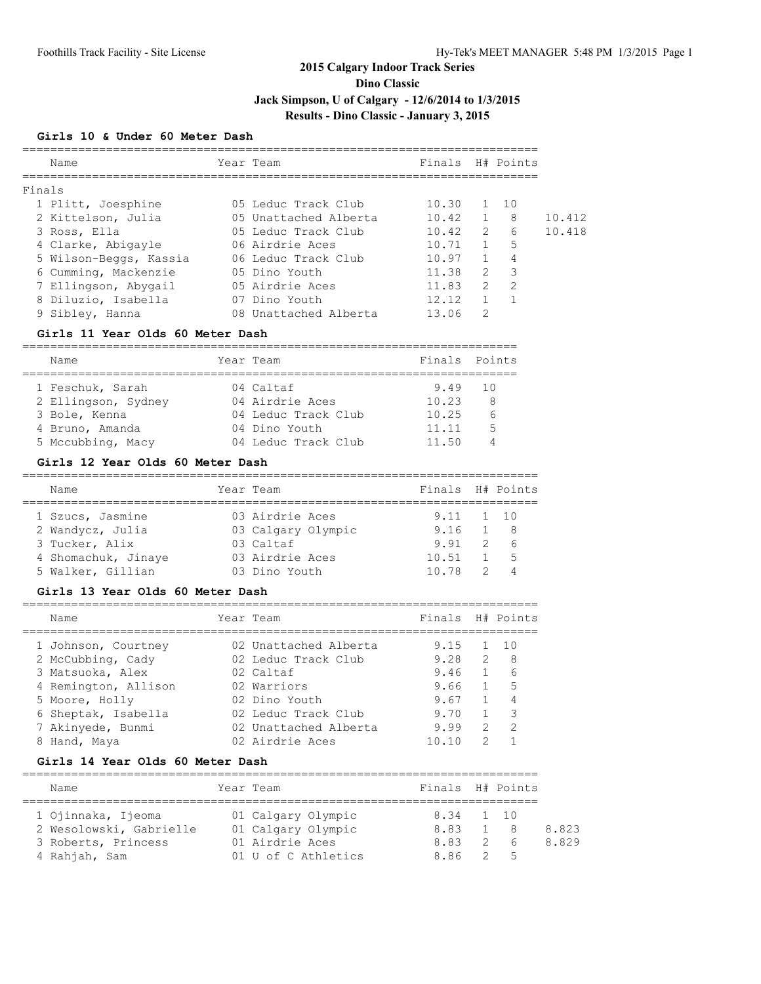**Dino Classic**

# **Jack Simpson, U of Calgary - 12/6/2014 to 1/3/2015**

# **Results - Dino Classic - January 3, 2015**

### **Girls 10 & Under 60 Meter Dash**

| Finals H# Points               |                |                  |              |
|--------------------------------|----------------|------------------|--------------|
|                                |                |                  |              |
|                                |                |                  |              |
| 05 Leduc Track Club<br>10.30   |                |                  |              |
| 10.42<br>05 Unattached Alberta | $\overline{1}$ | - 8              | 10.412       |
| 10.42<br>05 Leduc Track Club   | $\mathcal{L}$  | $6 \overline{6}$ | 10.418       |
| 06 Airdrie Aces<br>10.71       | 1              | 5                |              |
| 10.97<br>06 Leduc Track Club   | $\mathbf{1}$   | 4                |              |
| 11.38<br>05 Dino Youth         | $\mathcal{L}$  | $\mathcal{A}$    |              |
| 05 Airdrie Aces<br>11.83       | $\mathcal{L}$  | $\mathcal{L}$    |              |
| 12.12<br>07 Dino Youth         |                |                  |              |
| 13.06<br>08 Unattached Alberta | 2              |                  |              |
|                                |                |                  | $1 \quad 10$ |

### **Girls 11 Year Olds 60 Meter Dash**

| Name                | Year Team           | Finals Points |    |
|---------------------|---------------------|---------------|----|
|                     |                     |               |    |
| 1 Feschuk, Sarah    | 04 Caltaf           | 9.49          | 10 |
| 2 Ellingson, Sydney | 04 Airdrie Aces     | 10.23         | -8 |
| 3 Bole, Kenna       | 04 Leduc Track Club | 10.25         | 6  |
| 4 Bruno, Amanda     | 04 Dino Youth       | 11.11         | 5  |
| 5 Mccubbing, Macy   | 04 Leduc Track Club | 11.50         |    |

#### **Girls 12 Year Olds 60 Meter Dash**

| Name                | Year Team          | Finals H# Points |             |
|---------------------|--------------------|------------------|-------------|
| 1 Szucs, Jasmine    | 03 Airdrie Aces    | 9.11 1 10        |             |
| 2 Wandycz, Julia    | 03 Calgary Olympic | 9.16             | 1 8         |
| 3 Tucker, Alix      | 03 Caltaf          | 9.91             | 26          |
| 4 Shomachuk, Jinaye | 03 Airdrie Aces    | 10.51            | $1 \quad 5$ |
| 5 Walker, Gillian   | 03 Dino Youth      | 10.78            | 24          |

#### **Girls 13 Year Olds 60 Meter Dash**

|   | Name                 | Year Team             | Finals H# Points |               |     |
|---|----------------------|-----------------------|------------------|---------------|-----|
|   | 1 Johnson, Courtney  | 02 Unattached Alberta | 9.15             |               | 10  |
|   | 2 McCubbing, Cady    | 02 Leduc Track Club   | 9.28             | $\mathcal{L}$ | - 8 |
|   | 3 Matsuoka, Alex     | 02 Caltaf             | 9.46             |               | 6   |
|   | 4 Remington, Allison | 02 Warriors           | 9.66             |               | 5   |
|   | 5 Moore, Holly       | 02 Dino Youth         | 9.67             |               | 4   |
|   | 6 Sheptak, Isabella  | 02 Leduc Track Club   | 9.70             |               | 3   |
|   | 7 Akinyede, Bunmi    | 02 Unattached Alberta | 9.99             | $\mathcal{P}$ | -2  |
| 8 | Hand, Maya           | 02 Airdrie Aces       | 10.10            | っ             |     |
|   |                      |                       |                  |               |     |

#### **Girls 14 Year Olds 60 Meter Dash**

| Name                    |  | Year Team           | Finals H# Points |  |            |       |  |  |  |
|-------------------------|--|---------------------|------------------|--|------------|-------|--|--|--|
|                         |  |                     |                  |  |            |       |  |  |  |
| 1 Ojinnaka, Ijeoma      |  | 01 Calgary Olympic  | 8.34 1 10        |  |            |       |  |  |  |
| 2 Wesolowski, Gabrielle |  | 01 Calgary Olympic  | 8.83             |  | - 8        | 8.823 |  |  |  |
| 3 Roberts, Princess     |  | 01 Airdrie Aces     | 8.83             |  | 26         | 8.829 |  |  |  |
| 4 Rahjah, Sam           |  | 01 U of C Athletics | 8.86             |  | $\sim$ 2 5 |       |  |  |  |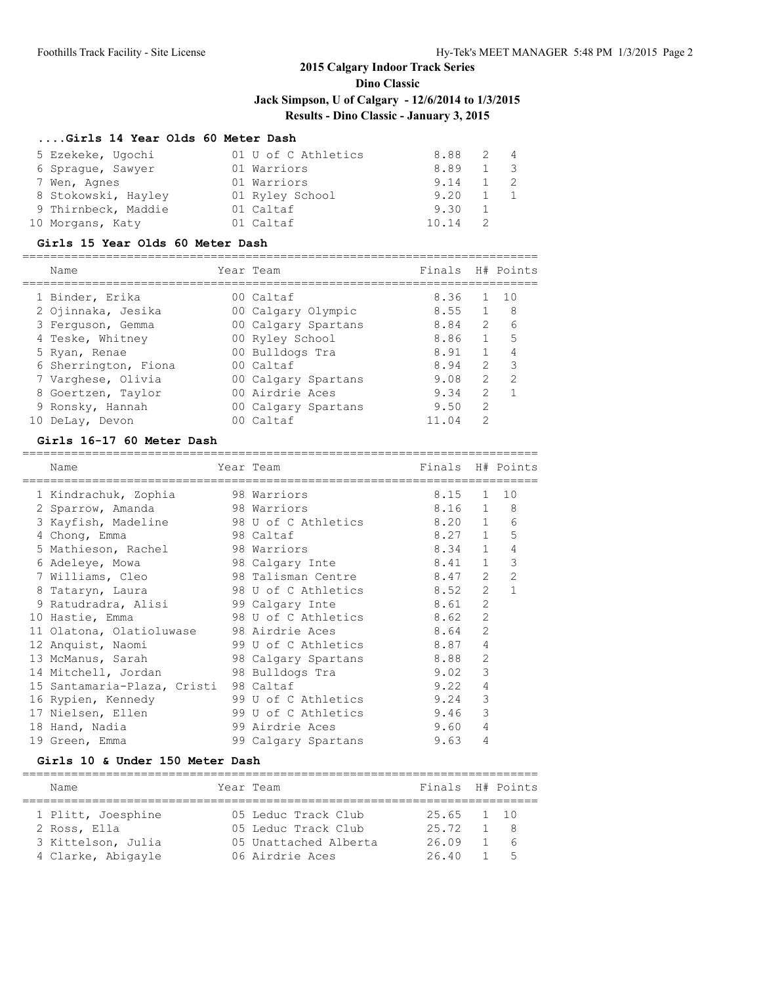# **Dino Classic**

**Jack Simpson, U of Calgary - 12/6/2014 to 1/3/2015**

## **Results - Dino Classic - January 3, 2015**

### **....Girls 14 Year Olds 60 Meter Dash**

| 5 Ezekeke, Ugochi   | 01 U of C Athletics | 8.88  | 2 4         |
|---------------------|---------------------|-------|-------------|
| 6 Spraque, Sawyer   | 01 Warriors         | 8.89  | $1 \quad 3$ |
| 7 Wen, Agnes        | 01 Warriors         | 9.14  | $1 \quad 2$ |
| 8 Stokowski, Hayley | 01 Ryley School     | 9.20  |             |
| 9 Thirnbeck, Maddie | 01 Caltaf           | 9.30  |             |
| 10 Morgans, Katy    | 01 Caltaf           | 10.14 |             |

#### **Girls 15 Year Olds 60 Meter Dash**

|    | Name                 | Year Team           | Finals |                | H# Points     |
|----|----------------------|---------------------|--------|----------------|---------------|
|    | 1 Binder, Erika      | $00$ Caltaf         | 8.36   |                | 10            |
|    | 2 Ojinnaka, Jesika   | 00 Calgary Olympic  | 8.55   |                | 8             |
|    | 3 Ferquson, Gemma    | 00 Calgary Spartans | 8.84   | $\mathcal{L}$  | 6             |
|    | 4 Teske, Whitney     | 00 Ryley School     | 8.86   |                | 5             |
|    | 5 Ryan, Renae        | 00 Bulldogs Tra     | 8.91   |                | 4             |
|    | 6 Sherrington, Fiona | 00 Caltaf           | 8.94   | $\mathcal{L}$  | 3             |
|    | 7 Varghese, Olivia   | 00 Calgary Spartans | 9.08   | $\mathcal{P}$  | $\mathcal{P}$ |
|    | 8 Goertzen, Taylor   | 00 Airdrie Aces     | 9.34   | $\mathcal{P}$  |               |
|    | 9 Ronsky, Hannah     | 00 Calgary Spartans | 9.50   | $\mathfrak{D}$ |               |
| 10 | DeLay, Devon         | 00 Caltaf           | 11.04  | 2              |               |

### **Girls 16-17 60 Meter Dash**

| Name                        | Year Team                | Finals H# Points |                |                |
|-----------------------------|--------------------------|------------------|----------------|----------------|
| 1 Kindrachuk, Zophia        | 98 Warriors              | 8.15             |                | $1 \quad 10$   |
| 2 Sparrow, Amanda           | 98 Warriors              | 8.16 1           |                | 8              |
| 3 Kayfish, Madeline         | 98 U of C Athletics      | 8.20 1           |                | 6              |
| 4 Chong, Emma               | 98 Caltaf                | 8.27 1           |                | 5              |
| 5 Mathieson, Rachel         | 98 Warriors              | 8.34 1           |                | 4              |
| 6 Adeleye, Mowa             | 98 Calgary Inte          | 8.41             | $\mathbf{1}$   | $\mathcal{E}$  |
| 7 Williams, Cleo            | 98 Talisman Centre       | 8.47             | $\overline{2}$ | $\overline{2}$ |
| 8 Tataryn, Laura            | 98 U of C Athletics      | 8.52             | $\overline{2}$ | 1              |
| 9 Ratudradra, Alisi         | 8.61<br>99 Calgary Inte  |                  | $\overline{2}$ |                |
| 10 Hastie, Emma             | 98 U of C Athletics      | 8.62             | $\overline{2}$ |                |
| 11 Olatona, Olatioluwase    | 98 Airdrie Aces          | 8.64             | $\mathcal{L}$  |                |
| 12 Anquist, Naomi           | 99 U of C Athletics      | 8.87             | 4              |                |
| 13 McManus, Sarah           | 98 Calgary Spartans 8.88 |                  | $\overline{2}$ |                |
| 14 Mitchell, Jordan         | 98 Bulldogs Tra          | 9.02             | 3              |                |
| 15 Santamaria-Plaza, Cristi | 98 Caltaf                | 9.22             | 4              |                |
| 16 Rypien, Kennedy          | 99 U of C Athletics      | 9.24             | 3              |                |
| 17 Nielsen, Ellen           | 99 U of C Athletics      | 9.46             | 3              |                |
| 18 Hand, Nadia              | 99 Airdrie Aces          | 9.60             | 4              |                |
| 19 Green, Emma              | 99 Calgary Spartans      | 9.63             | 4              |                |

#### **Girls 10 & Under 150 Meter Dash**

| Name               | Year Team             | Finals H# Points |                |             |
|--------------------|-----------------------|------------------|----------------|-------------|
| 1 Plitt, Joesphine | 05 Leduc Track Club   | $25.65$ 1 10     |                |             |
| 2 Ross, Ella       | 05 Leduc Track Club   | 25.72            |                | $1 \quad 8$ |
| 3 Kittelson, Julia | 05 Unattached Alberta | 26.09            |                | $1\quad 6$  |
| 4 Clarke, Abigayle | 06 Airdrie Aces       | 26.40            | $\overline{1}$ | $5^{\circ}$ |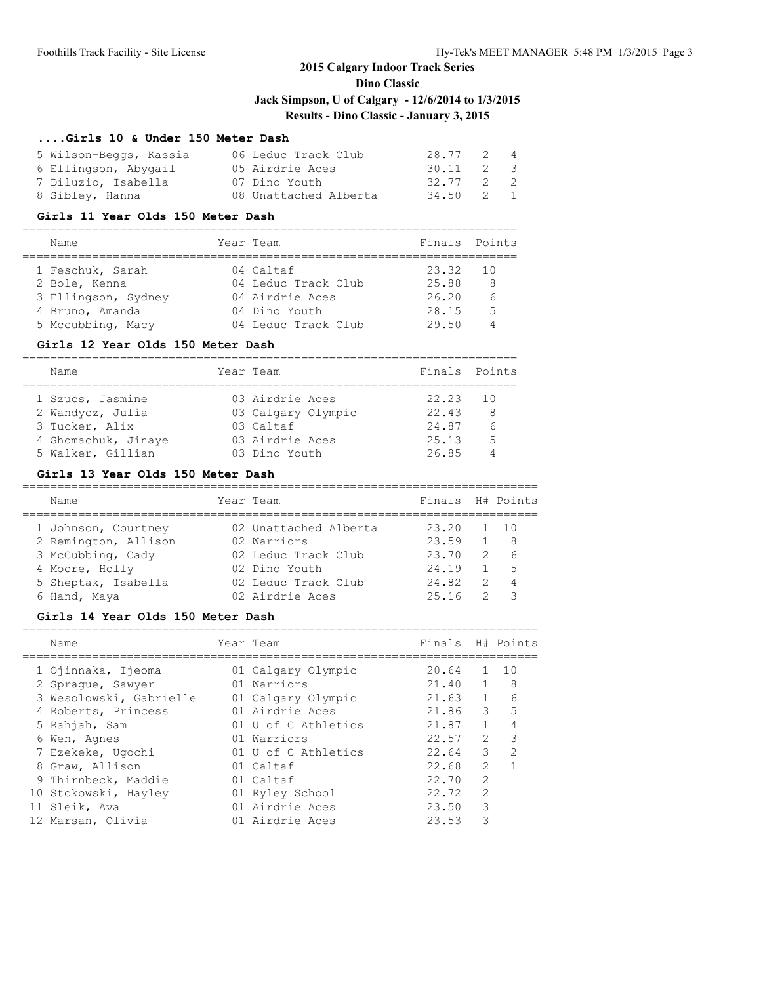### **Dino Classic**

**Jack Simpson, U of Calgary - 12/6/2014 to 1/3/2015**

# **Results - Dino Classic - January 3, 2015**

### **....Girls 10 & Under 150 Meter Dash**

| 5 Wilson-Beggs, Kassia | 06 Leduc Track Club   | 28.77 2 4 |  |
|------------------------|-----------------------|-----------|--|
| 6 Ellingson, Abygail   | 05 Airdrie Aces       | 30.11 2 3 |  |
| 7 Diluzio, Isabella    | 07 Dino Youth         | 32.77 2 2 |  |
| 8 Sibley, Hanna        | 08 Unattached Alberta | 34.50 2 1 |  |

#### **Girls 11 Year Olds 150 Meter Dash**

=======================================================================

| Name                | Year Team           | Finals Points |          |
|---------------------|---------------------|---------------|----------|
| 1 Feschuk, Sarah    | 04 Caltaf           | 23.32         | - 10     |
| 2 Bole, Kenna       | 04 Leduc Track Club | 25.88         | 8        |
| 3 Ellingson, Sydney | 04 Airdrie Aces     | 26.20         | $\kappa$ |
| 4 Bruno, Amanda     | 04 Dino Youth       | 28.15         | 5        |
| 5 Mccubbing, Macy   | 04 Leduc Track Club | 29.50         |          |

#### **Girls 12 Year Olds 150 Meter Dash**

| Name                | Year Team          | Finals Points |                |
|---------------------|--------------------|---------------|----------------|
|                     |                    |               |                |
| 1 Szucs, Jasmine    | 03 Airdrie Aces    | 22.23 10      |                |
| 2 Wandycz, Julia    | 03 Calgary Olympic | 22.43         | R              |
| 3 Tucker, Alix      | 03 Caltaf          | 24.87         |                |
| 4 Shomachuk, Jinaye | 03 Airdrie Aces    | 25.13         | $\overline{5}$ |
| 5 Walker, Gillian   | 03 Dino Youth      | 26.85         |                |

#### **Girls 13 Year Olds 150 Meter Dash**

| Name                 | Year Team             | Finals H# Points |               |                 |
|----------------------|-----------------------|------------------|---------------|-----------------|
| 1 Johnson, Courtney  | 02 Unattached Alberta | 23.20            |               | $\overline{10}$ |
| 2 Remington, Allison | 02 Warriors           | 23.59            |               | - 8             |
| 3 McCubbing, Cady    | 02 Leduc Track Club   | 23.70            | $\mathcal{P}$ | - 6             |
| 4 Moore, Holly       | 02 Dino Youth         | 24.19            |               | 5               |
| 5 Sheptak, Isabella  | 02 Leduc Track Club   | 24.82            | $\mathcal{P}$ | 4               |
| 6 Hand, Maya         | 02 Airdrie Aces       | 25.16            |               |                 |

#### **Girls 14 Year Olds 150 Meter Dash**

| Name                    | Year Team           | Finals |               | H# Points     |
|-------------------------|---------------------|--------|---------------|---------------|
| 1 Ojinnaka, Ijeoma      | 01 Calgary Olympic  | 20.64  | $\mathbf{1}$  | 10            |
| 2 Spraque, Sawyer       | 01 Warriors         | 21.40  |               | -8            |
| 3 Wesolowski, Gabrielle | 01 Calgary Olympic  | 21.63  | $\mathbf{1}$  | 6             |
| 4 Roberts, Princess     | 01 Airdrie Aces     | 21.86  | 3             | 5             |
| 5 Rahjah, Sam           | 01 U of C Athletics | 21.87  | $\mathbf{1}$  |               |
| 6 Wen, Agnes            | 01 Warriors         | 22.57  | $\mathcal{L}$ | 3             |
| 7 Ezekeke, Ugochi       | 01 U of C Athletics | 22.64  | $\mathcal{L}$ | $\mathcal{P}$ |
| 8 Graw, Allison         | 01 Caltaf           | 22.68  | $\mathcal{L}$ |               |
| 9 Thirnbeck, Maddie     | 01 Caltaf           | 22.70  | $\mathcal{L}$ |               |
| 10 Stokowski, Hayley    | 01 Ryley School     | 22.72  | $\mathcal{L}$ |               |
| 11 Sleik, Ava           | 01 Airdrie Aces     | 23.50  | 3             |               |
| 12 Marsan, Olivia       | 01 Airdrie Aces     | 23.53  | ς             |               |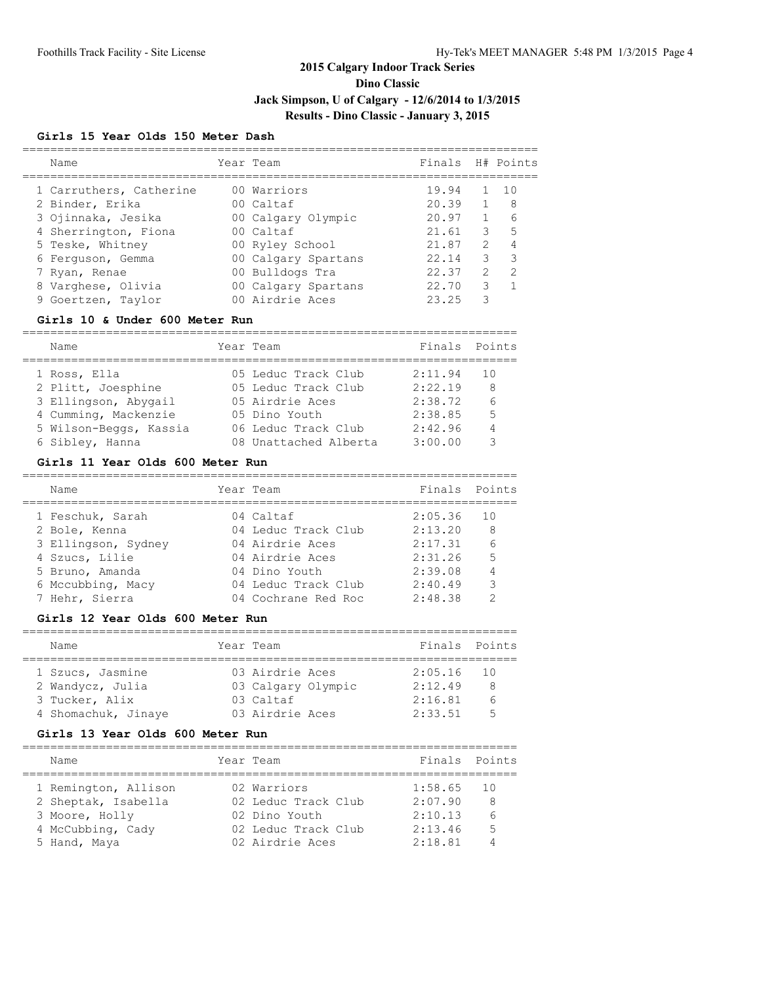**Dino Classic**

**Jack Simpson, U of Calgary - 12/6/2014 to 1/3/2015**

**Results - Dino Classic - January 3, 2015**

#### **Girls 15 Year Olds 150 Meter Dash**

| Name                    |  |                                                                                                                                                                                   |               |                  |
|-------------------------|--|-----------------------------------------------------------------------------------------------------------------------------------------------------------------------------------|---------------|------------------|
| 1 Carruthers, Catherine |  | 19.94                                                                                                                                                                             |               | 1 O              |
| 2 Binder, Erika         |  | 20.39                                                                                                                                                                             |               | 8                |
| 3 Ojinnaka, Jesika      |  | 20.97                                                                                                                                                                             |               | 6                |
| 4 Sherrington, Fiona    |  | 21.61                                                                                                                                                                             | 3             | 5                |
| 5 Teske, Whitney        |  | 21.87                                                                                                                                                                             | $\mathcal{P}$ |                  |
| 6 Ferguson, Gemma       |  | 22.14                                                                                                                                                                             | 3             | 3                |
| 7 Ryan, Renae           |  | 22.37                                                                                                                                                                             | $\mathcal{L}$ | $\mathcal{P}$    |
| 8 Varghese, Olivia      |  | 22.70                                                                                                                                                                             | 3             |                  |
| 9 Goertzen, Taylor      |  | 23.25                                                                                                                                                                             |               |                  |
|                         |  | Year Team<br>00 Warriors<br>00 Caltaf<br>00 Calgary Olympic<br>$00$ Caltaf<br>00 Ryley School<br>00 Calgary Spartans<br>00 Bulldogs Tra<br>00 Calgary Spartans<br>00 Airdrie Aces |               | Finals H# Points |

#### **Girls 10 & Under 600 Meter Run**

======================================================================= Name Year Team ======================================================================= 1 Ross, Ella 05 Leduc Track Club 2:11.94 10 2 Plitt, Joesphine 05 Leduc Track Club 2:22.19 8 3 Ellingson, Abygail 05 Airdrie Aces 2:38.72 6 4 Cumming, Mackenzie 05 Dino Youth 2:38.85 5 5 Wilson-Beggs, Kassia 06 Leduc Track Club 2:42.96 4 6 Sibley, Hanna 08 Unattached Alberta 3:00.00 3

#### **Girls 11 Year Olds 600 Meter Run**

| Name                | Year Team           | Finals Points |    |
|---------------------|---------------------|---------------|----|
| 1 Feschuk, Sarah    | 04 Caltaf           | 2:05.36       | 10 |
| 2 Bole, Kenna       | 04 Leduc Track Club | 2:13.20       | 8  |
| 3 Ellingson, Sydney | 04 Airdrie Aces     | 2:17.31       |    |
| 4 Szucs, Lilie      | 04 Airdrie Aces     | 2:31.26       | 5  |
| 5 Bruno, Amanda     | 04 Dino Youth       | 2:39.08       |    |
| 6 Mccubbing, Macy   | 04 Leduc Track Club | 2:40.49       | 3  |
| 7 Hehr, Sierra      | 04 Cochrane Red Roc | 2:48.38       | ◠  |

#### **Girls 12 Year Olds 600 Meter Run**

| Name                |  | Year Team          |  | Finals Points |                 |  |  |  |  |  |
|---------------------|--|--------------------|--|---------------|-----------------|--|--|--|--|--|
|                     |  |                    |  |               |                 |  |  |  |  |  |
| 1 Szucs, Jasmine    |  | 03 Airdrie Aces    |  | 2:05.16       | 10              |  |  |  |  |  |
| 2 Wandycz, Julia    |  | 03 Calgary Olympic |  | 2:12.49       | 8               |  |  |  |  |  |
| 3 Tucker, Alix      |  | 03 Caltaf          |  | 2:16.81       | 6               |  |  |  |  |  |
| 4 Shomachuk, Jinaye |  | 03 Airdrie Aces    |  | 2:33.51       | $5\overline{)}$ |  |  |  |  |  |

#### **Girls 13 Year Olds 600 Meter Run**

| Name                 | Year Team           | Finals Points |                 |
|----------------------|---------------------|---------------|-----------------|
| 1 Remington, Allison | 02 Warriors         | 1:58.65       | $\overline{10}$ |
| 2 Sheptak, Isabella  | 02 Leduc Track Club | 2:07.90       | 8               |
| 3 Moore, Holly       | 02 Dino Youth       | 2:10.13       |                 |
| 4 McCubbing, Cady    | 02 Leduc Track Club | 2:13.46       | 5               |
| 5 Hand, Maya         | 02 Airdrie Aces     | 2:18.81       |                 |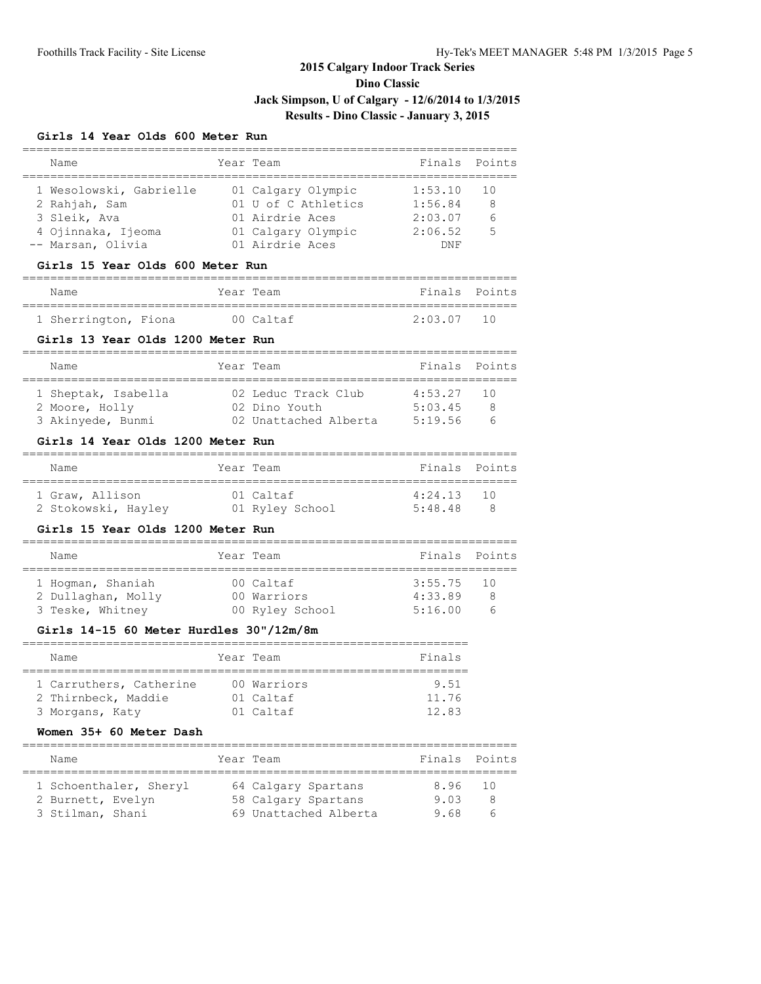**Dino Classic**

**Jack Simpson, U of Calgary - 12/6/2014 to 1/3/2015**

# **Results - Dino Classic - January 3, 2015**

### **Girls 14 Year Olds 600 Meter Run**

| Name<br>___________________                                           | ______________   | Year Team                                               | Finals                              | Points |
|-----------------------------------------------------------------------|------------------|---------------------------------------------------------|-------------------------------------|--------|
| 1 Wesolowski, Gabrielle                                               |                  | =================================<br>01 Calgary Olympic | 1:53.10                             | 10     |
| 2 Rahjah, Sam                                                         |                  | 01 U of C Athletics                                     | 1:56.84                             | 8      |
| 3 Sleik, Ava                                                          |                  | 01 Airdrie Aces                                         | 2:03.07                             | 6      |
| 4 Ojinnaka, Ijeoma                                                    |                  | 01 Calgary Olympic 2:06.52                              |                                     | 5      |
| -- Marsan, Olivia                                                     |                  | 01 Airdrie Aces                                         | DNF                                 |        |
| Girls 15 Year Olds 600 Meter Run                                      |                  |                                                         |                                     |        |
| Name                                                                  |                  | Year Team                                               | Finals                              | Points |
| 1 Sherrington, Fiona                                                  |                  | 00 Caltaf                                               | 2:03.07                             | 10     |
| Girls 13 Year Olds 1200 Meter Run<br>________________________________ |                  |                                                         |                                     |        |
| Name                                                                  |                  | Year Team                                               | Finals                              | Points |
| 1 Sheptak, Isabella                                                   |                  | 02 Leduc Track Club                                     | 4:53.27                             | 10     |
| 2 Moore, Holly                                                        |                  | 02 Dino Youth                                           | 5:03.45                             | 8      |
| 3 Akinyede, Bunmi                                                     |                  | 02 Unattached Alberta 5:19.56                           |                                     | 6      |
| Girls 14 Year Olds 1200 Meter Run                                     |                  |                                                         |                                     |        |
| Name                                                                  | ---------------- | Year Team                                               | . _ _ _ _ _ _ _ _ _ _ _ _<br>Finals | Points |
| 1 Graw, Allison                                                       |                  | 01 Caltaf                                               | 4:24.13                             | 10     |
| 2 Stokowski, Hayley            01 Ryley School                        |                  |                                                         | 5:48.48                             | - 8    |
| Girls 15 Year Olds 1200 Meter Run                                     |                  |                                                         |                                     |        |
| Name                                                                  |                  | Year Team                                               | Finals                              | Points |
| 1 Hogman, Shaniah                                                     |                  | 00 Caltaf                                               | =================<br>3:55.75        | 10     |
| 2 Dullaghan, Molly                                                    |                  | 00 Warriors                                             | 4:33.89                             | 8      |
| 3 Teske, Whitney                                                      |                  | 00 Ryley School                                         | 5:16.00                             | 6      |
| Girls 14-15 60 Meter Hurdles 30"/12m/8m                               |                  |                                                         |                                     |        |
| Name                                                                  | ---------        | Year Team                                               | Finals                              |        |
| 1 Carruthers, Catherine                                               |                  | 00 Warriors                                             | 9.51                                |        |
| 2 Thirnbeck, Maddie                                                   |                  | 01 Caltaf                                               | 11.76                               |        |
| 3 Morgans, Katy                                                       |                  | 01 Caltaf                                               | 12.83                               |        |
|                                                                       |                  |                                                         |                                     |        |
| Women 35+ 60 Meter Dash                                               |                  |                                                         |                                     |        |

1 Schoenthaler, Sheryl 64 Calgary Spartans 8.96 10 2 Burnett, Evelyn 58 Calgary Spartans 9.03 8 3 Stilman, Shani 69 Unattached Alberta 9.68 6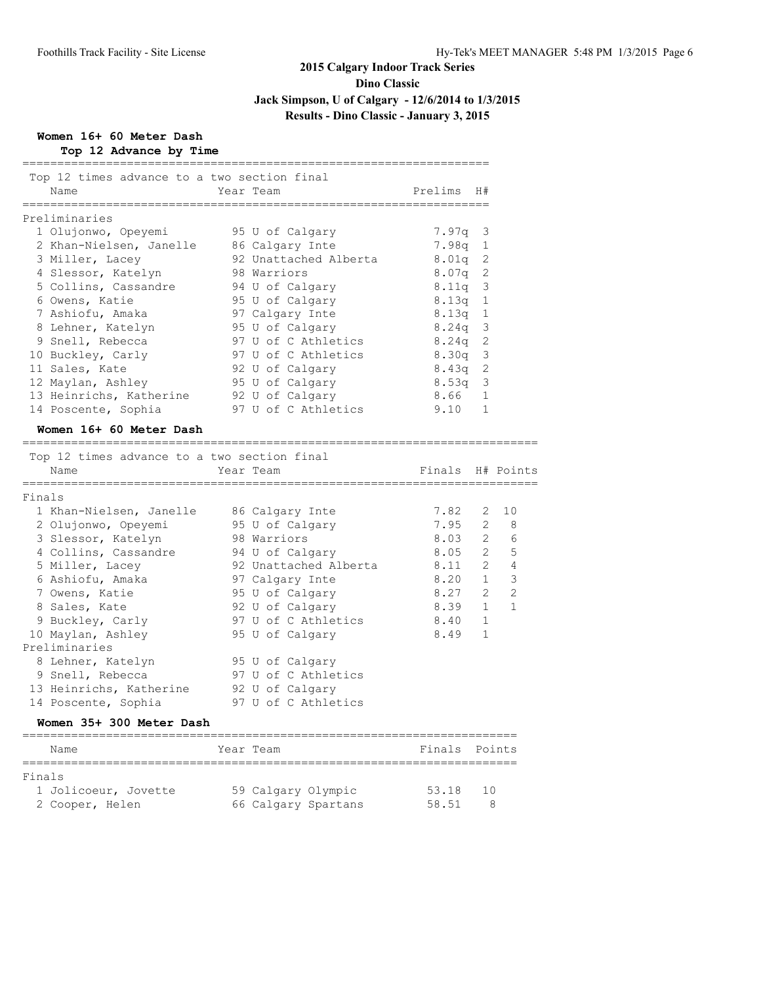**Dino Classic**

**Jack Simpson, U of Calgary - 12/6/2014 to 1/3/2015**

# **Results - Dino Classic - January 3, 2015**

# **Women 16+ 60 Meter Dash Top 12 Advance by Time**

| Top 12 times advance to a two section final<br>Name | Year Team             | Prelims          | H#             |                         |
|-----------------------------------------------------|-----------------------|------------------|----------------|-------------------------|
| Preliminaries                                       |                       |                  |                |                         |
| 1 Olujonwo, Opeyemi                                 | 95 U of Calgary       | 7.97q            | 3              |                         |
| 2 Khan-Nielsen, Janelle                             | 86 Calgary Inte       | 7.98q            | 1              |                         |
| 3 Miller, Lacey                                     | 92 Unattached Alberta | 8.01q            | 2              |                         |
| 4 Slessor, Katelyn                                  | 98 Warriors           | 8.07q 2          |                |                         |
| 5 Collins, Cassandre                                | 94 U of Calgary       | 8.11q 3          |                |                         |
| 6 Owens, Katie                                      | 95 U of Calqary       | 8.13q            | 1              |                         |
| 7 Ashiofu, Amaka                                    | 97 Calgary Inte       | 8.13q 1          |                |                         |
| 8 Lehner, Katelyn                                   | 95 U of Calqary       | $8.24q$ 3        |                |                         |
| 9 Snell, Rebecca                                    | 97 U of C Athletics   | 8.24q            | $\overline{c}$ |                         |
| 10 Buckley, Carly                                   | 97 U of C Athletics   | 8.30q 3          |                |                         |
| 11 Sales, Kate                                      | 92 U of Calqary       | $8.43q$ 2        |                |                         |
| 12 Maylan, Ashley                                   | 95 U of Calqary       | 8.53q            | 3              |                         |
| 13 Heinrichs, Katherine                             | 92 U of Calgary       | $8.66$ 1         |                |                         |
| 14 Poscente, Sophia                                 | 97 U of C Athletics   | 9.10             | $\mathbf{1}$   |                         |
| Women 16+ 60 Meter Dash                             |                       |                  |                |                         |
| Top 12 times advance to a two section final         |                       |                  |                |                         |
| Name                                                | Year Team             | Finals H# Points |                |                         |
| Finals                                              |                       |                  |                |                         |
| 1 Khan-Nielsen, Janelle                             | 86 Calgary Inte       | 7.82             | 2              | 10                      |
| 2 Olujonwo, Opeyemi                                 | 95 U of Calgary       | 7.95             | $\overline{2}$ | 8                       |
| 3 Slessor, Katelyn                                  | 98 Warriors           | 8.03             | $\mathbf{2}$   | 6                       |
| 4 Collins, Cassandre                                | 94 U of Calgary       | 8.05             |                | 2 <sub>5</sub>          |
| 5 Miller, Lacey                                     | 92 Unattached Alberta | 8.11             | $\overline{2}$ | $\overline{4}$          |
| 6 Ashiofu, Amaka                                    | 97 Calgary Inte       | 8.20             | 1              | $\overline{\mathbf{3}}$ |
| 7 Owens, Katie                                      | 95 U of Calgary       | 8.27             | $\overline{2}$ | $\overline{2}$          |
| 8 Sales, Kate                                       | 92 U of Calgary       | 8.39             | $\mathbf{1}$   | $\mathbf{1}$            |
| 9 Buckley, Carly                                    | 97 U of C Athletics   | 8.40             | $\mathbf{1}$   |                         |
| 10 Maylan, Ashley                                   | 95 U of Calgary       | 8.49             | $\mathbf{1}$   |                         |
| Preliminaries                                       |                       |                  |                |                         |
| 8 Lehner, Katelyn                                   | 95 U of Calgary       |                  |                |                         |
| 9 Snell, Rebecca                                    | 97 U of C Athletics   |                  |                |                         |
| 13 Heinrichs, Katherine                             | 92 U of Calgary       |                  |                |                         |
| 14 Poscente, Sophia                                 | 97 U of C Athletics   |                  |                |                         |
| Women 35+ 300 Meter Dash                            |                       |                  |                |                         |
| _____________________________________<br>Name       | Year Team             | Finals           |                | Points                  |

| Finals               |                     |       |     |
|----------------------|---------------------|-------|-----|
| 1 Jolicoeur, Jovette | 59 Calgary Olympic  | 53.18 | 10  |
| 2 Cooper, Helen      | 66 Calgary Spartans | 58.51 | - 8 |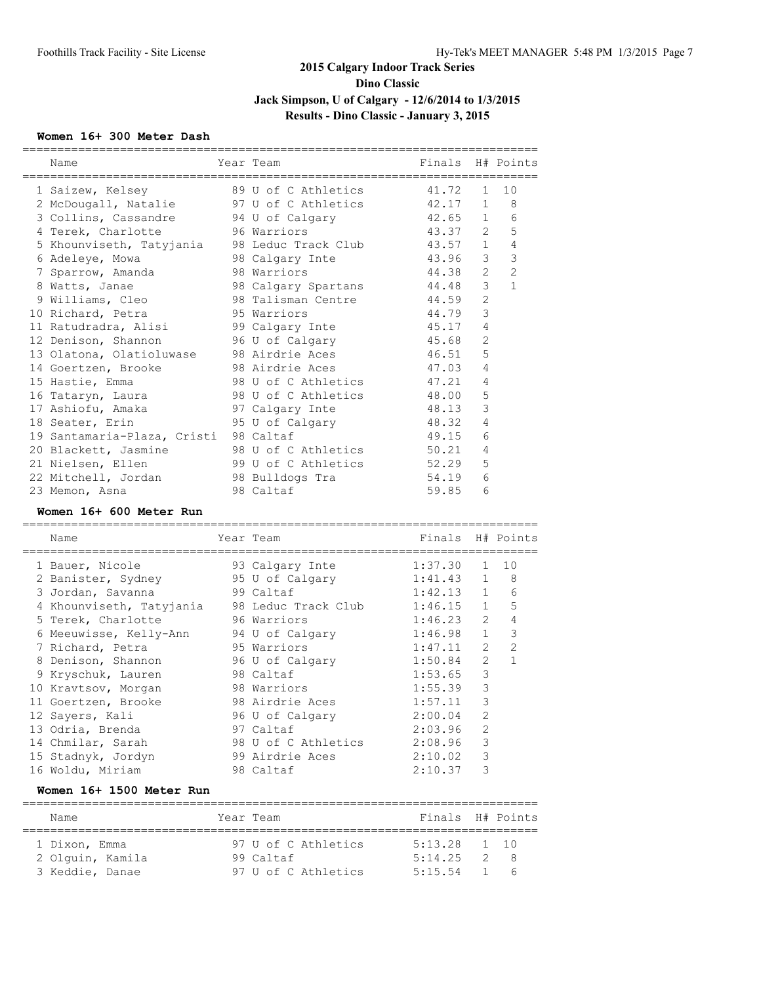## **Women 16+ 300 Meter Dash**

| Name                        | Year Team           | Finals  |                | H# Points                   |
|-----------------------------|---------------------|---------|----------------|-----------------------------|
| 1 Saizew, Kelsey            | 89 U of C Athletics | 41.72   | 1              | 10                          |
| 2 McDougall, Natalie        | 97 U of C Athletics | 42.17   | 1              | 8                           |
| 3 Collins, Cassandre        | 94 U of Calgary     | 42.65   | $\mathbf{1}$   | 6                           |
| 4 Terek, Charlotte          | 96 Warriors         | 43.37   | $\overline{2}$ | 5                           |
| 5 Khounviseth, Tatyjania    | 98 Leduc Track Club | 43.57   | $\mathbf{1}$   | 4                           |
| 6 Adeleye, Mowa             | 98 Calgary Inte     | 43.96   | $\mathcal{S}$  | $\overline{3}$              |
| 7 Sparrow, Amanda           | 98 Warriors         | 44.38   | 2              | 2                           |
| 8 Watts, Janae              | 98 Calgary Spartans | 44.48   | 3              | $\mathbf{1}$                |
| 9 Williams, Cleo            | 98 Talisman Centre  | 44.59   | 2              |                             |
| 10 Richard, Petra           | 95 Warriors         | 44.79   | 3              |                             |
| 11 Ratudradra, Alisi        | 99 Calgary Inte     | 45.17   | 4              |                             |
| 12 Denison, Shannon         | 96 U of Calgary     | 45.68   | $\overline{2}$ |                             |
| 13 Olatona, Olatioluwase    | 98 Airdrie Aces     | 46.51   | 5              |                             |
| 14 Goertzen, Brooke         | 98 Airdrie Aces     | 47.03   | 4              |                             |
| 15 Hastie, Emma             | 98 U of C Athletics | 47.21   | $\overline{4}$ |                             |
| 16 Tataryn, Laura           | 98 U of C Athletics | 48.00   | 5              |                             |
| 17 Ashiofu, Amaka           | 97 Calgary Inte     | 48.13   | 3              |                             |
| 18 Seater, Erin             | 95 U of Calgary     | 48.32   | $\overline{4}$ |                             |
| 19 Santamaria-Plaza, Cristi | 98 Caltaf           | 49.15   | 6              |                             |
| 20 Blackett, Jasmine        | 98 U of C Athletics | 50.21   | 4              |                             |
| 21 Nielsen, Ellen           | 99 U of C Athletics | 52.29   | 5              |                             |
| 22 Mitchell, Jordan         | 98 Bulldogs Tra     | 54.19   | 6              |                             |
| 23 Memon, Asna              | 98 Caltaf           | 59.85   | 6              |                             |
| Women 16+ 600 Meter Run     |                     |         |                |                             |
| Name                        | Year Team           | Finals  |                | H# Points                   |
| 1 Bauer, Nicole             | 93 Calgary Inte     | 1:37.30 | 1              | 10                          |
| 2 Banister, Sydney          | 95 U of Calgary     | 1:41.43 | $\mathbf{1}$   | 8                           |
| 3 Jordan, Savanna           | 99 Caltaf           | 1:42.13 | $\mathbf{1}$   | 6                           |
| 4 Khounviseth, Tatyjania    | 98 Leduc Track Club | 1:46.15 |                | 5<br>$1 \quad \blacksquare$ |
| 5 Terek, Charlotte          | 96 Warriors         | 1:46.23 | 2              | $\overline{4}$              |
| 6 Meeuwisse, Kelly-Ann      | 94 U of Calgary     | 1:46.98 | 1              | $\overline{\mathbf{3}}$     |
| 7 Richard, Petra            | 95 Warriors         | 1:47.11 | $\overline{2}$ | $\overline{2}$              |
| 8 Denison, Shannon          | 96 U of Calgary     | 1:50.84 | $\mathfrak{L}$ | $\mathbf{1}$                |
| 9 Kryschuk, Lauren          | 98 Caltaf           | 1:53.65 | 3              |                             |
| 10 Kravtsov, Morgan         | 98 Warriors         | 1:55.39 | 3              |                             |
| 11 Goertzen, Brooke         | 98 Airdrie Aces     | 1:57.11 | 3              |                             |
|                             | 96 U of Calgary     | 2:00.04 | 2              |                             |
| 12 Sayers, Kali             |                     |         |                |                             |
| 13 Odria, Brenda            | 97 Caltaf           | 2:03.96 | $\mathfrak{L}$ |                             |
| 14 Chmilar, Sarah           | 98 U of C Athletics | 2:08.96 | $\mathcal{S}$  |                             |
| 15 Stadnyk, Jordyn          | 99 Airdrie Aces     | 2:10.02 | 3              |                             |

==========================================================================

## **Women 16+ 1500 Meter Run**

| Name             | Year Team           | Finals H# Points |    |            |
|------------------|---------------------|------------------|----|------------|
| 1 Dixon, Emma    | 97 U of C Athletics | $5:13.28$ 1 10   |    |            |
| 2 Olquin, Kamila | 99 Caltaf           | 5:14.25          |    | $\gamma$ R |
| 3 Keddie, Danae  | 97 U of C Athletics | 5:15.54          | 1. | $\sqrt{2}$ |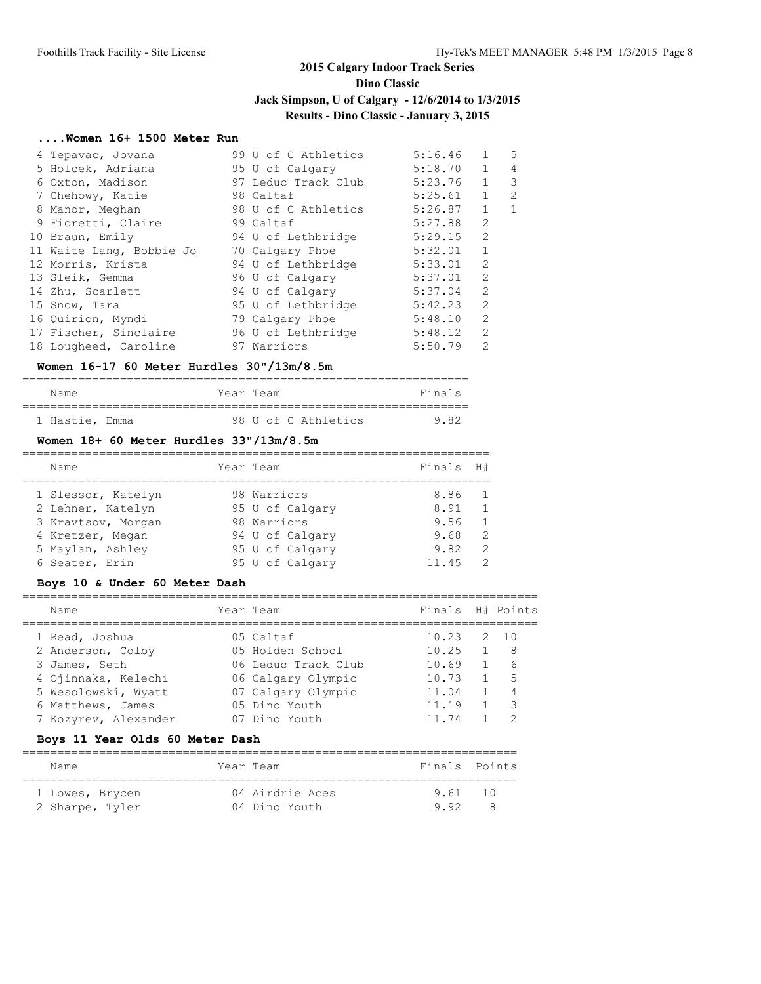### **Dino Classic**

## **Jack Simpson, U of Calgary - 12/6/2014 to 1/3/2015**

# **Results - Dino Classic - January 3, 2015**

#### **....Women 16+ 1500 Meter Run**

| 4 Tepavac, Jovana |                          | 5:16.46<br>99 U of C Athletics | $\mathbf{1}$   | 5 |
|-------------------|--------------------------|--------------------------------|----------------|---|
|                   | 5 Holcek, Adriana        | 5:18.70<br>95 U of Calgary     | 1              | 4 |
|                   | 6 Oxton, Madison         | 5:23.76<br>97 Leduc Track Club | $\mathbf{1}$   | 3 |
| 7 Chehowy, Katie  |                          | 5:25.61<br>98 Caltaf           | $\mathbf{1}$   | 2 |
| 8 Manor, Meghan   |                          | 5:26.87<br>98 U of C Athletics | $\mathbf{1}$   | 1 |
|                   | 9 Fioretti, Claire       | 5:27.88<br>99 Caltaf           | $\overline{2}$ |   |
| 10 Braun, Emily   |                          | 5:29.15<br>94 U of Lethbridge  | $\overline{2}$ |   |
|                   | 11 Waite Lang, Bobbie Jo | 5:32.01<br>70 Calgary Phoe     | $\mathbf{1}$   |   |
| 12 Morris, Krista |                          | 5:33.01<br>94 U of Lethbridge  | $\overline{2}$ |   |
| 13 Sleik, Gemma   |                          | 5:37.01<br>96 U of Calgary     | $\overline{2}$ |   |
| 14 Zhu, Scarlett  |                          | 5:37.04<br>94 U of Calgary     | $\overline{2}$ |   |
| 15 Snow, Tara     |                          | 5:42.23<br>95 U of Lethbridge  | $\overline{2}$ |   |
| 16 Quirion, Myndi |                          | 5:48.10<br>79 Calgary Phoe     | $\overline{2}$ |   |
|                   | 17 Fischer, Sinclaire    | 5:48.12<br>96 U of Lethbridge  | $\overline{2}$ |   |
|                   | 18 Lougheed, Caroline    | 5:50.79<br>97 Warriors         | $\overline{2}$ |   |

#### **Women 16-17 60 Meter Hurdles 30"/13m/8.5m**

| Name | Year Team | Finals |  |
|------|-----------|--------|--|
|      |           |        |  |

| 9.82<br>98 U of C Athletics<br>1 Hastie, Emma |
|-----------------------------------------------|
|-----------------------------------------------|

## **Women 18+ 60 Meter Hurdles 33"/13m/8.5m**

| Name               | Year Team       | Finals | H#            |
|--------------------|-----------------|--------|---------------|
|                    |                 |        |               |
| 1 Slessor, Katelyn | 98 Warriors     | 8.86   |               |
| 2 Lehner, Katelyn  | 95 U of Calgary | 8.91   |               |
| 3 Kravtsov, Morgan | 98 Warriors     | 9.56   |               |
| 4 Kretzer, Megan   | 94 U of Calgary | 9.68   | $\mathcal{P}$ |
| 5 Maylan, Ashley   | 95 U of Calgary | 9.82   | 2             |
| 6 Seater, Erin     | 95 U of Calgary | 11.45  |               |

#### **Boys 10 & Under 60 Meter Dash**

| Name                 | Year Team           | Finals H# Points |                |
|----------------------|---------------------|------------------|----------------|
| 1 Read, Joshua       | 05 Caltaf           | 10.23            | 2 10           |
| 2 Anderson, Colby    | 05 Holden School    | 10.25            | - 8            |
| 3 James, Seth        | 06 Leduc Track Club | 10.69            | - 6            |
| 4 Ojinnaka, Kelechi  | 06 Calgary Olympic  | 10.73            | $-5$           |
| 5 Wesolowski, Wyatt  | 07 Calgary Olympic  | 11.04            | $\overline{4}$ |
| 6 Matthews, James    | 05 Dino Youth       | 11.19            | - 3            |
| 7 Kozyrev, Alexander | 07 Dino Youth       | 11 74            |                |

#### **Boys 11 Year Olds 60 Meter Dash**

| Name            | Year Team       | Finals Points |      |  |  |  |  |
|-----------------|-----------------|---------------|------|--|--|--|--|
| 1 Lowes, Brycen | 04 Airdrie Aces | 9.61          | - 10 |  |  |  |  |
| 2 Sharpe, Tyler | 04 Dino Youth   | 9.92          | - 8  |  |  |  |  |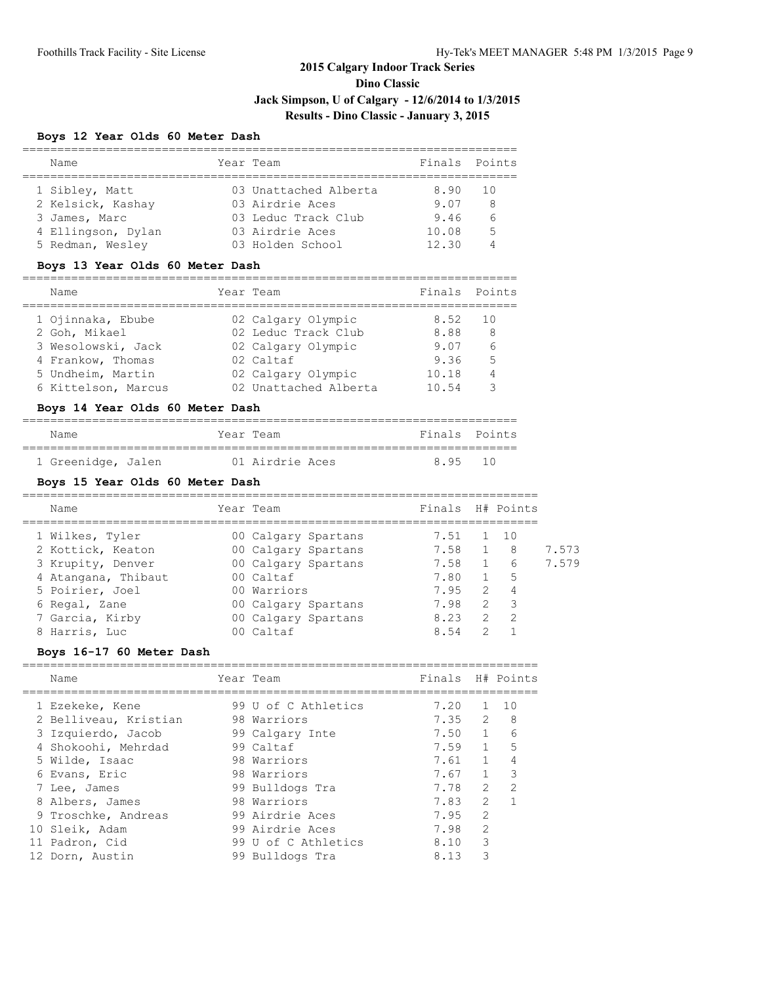## **Boys 12 Year Olds 60 Meter Dash**

| Name               | Year Team             | Finals Points |      |
|--------------------|-----------------------|---------------|------|
|                    |                       |               |      |
| 1 Sibley, Matt     | 03 Unattached Alberta | 8.90          | - 10 |
| 2 Kelsick, Kashay  | 03 Airdrie Aces       | 9.07          | 8    |
| 3 James, Marc      | 03 Leduc Track Club   | 9.46          |      |
| 4 Ellingson, Dylan | 03 Airdrie Aces       | 10.08         | -5   |
| 5 Redman, Wesley   | 03 Holden School      | 12.30         |      |
|                    |                       |               |      |

#### **Boys 13 Year Olds 60 Meter Dash**

| Name                | Year Team             | Finals Points |                 |
|---------------------|-----------------------|---------------|-----------------|
| 1 Ojinnaka, Ebube   | 02 Calgary Olympic    | 8.52          | 10              |
| 2 Goh, Mikael       | 02 Leduc Track Club   | 8.88          | 8               |
| 3 Wesolowski, Jack  | 02 Calgary Olympic    | 9.07          | $6\overline{6}$ |
| 4 Frankow, Thomas   | 02 Caltaf             | 9.36          | 5               |
| 5 Undheim, Martin   | 02 Calgary Olympic    | 10.18         |                 |
| 6 Kittelson, Marcus | 02 Unattached Alberta | 10.54         |                 |
|                     |                       |               |                 |

# **Boys 14 Year Olds 60 Meter Dash**

### ======================================================================= Name **The Year Team Finals** Points ======================================================================= 1 Greenidge, Jalen 01 Airdrie Aces 8.95 10

#### **Boys 15 Year Olds 60 Meter Dash**

| Name                | Year Team           | Finals H# Points |               |                |       |
|---------------------|---------------------|------------------|---------------|----------------|-------|
| 1 Wilkes, Tyler     | 00 Calgary Spartans | 7.51             |               | $1 \quad 10$   |       |
| 2 Kottick, Keaton   | 00 Calgary Spartans | 7.58             |               | - 8            | 7.573 |
| 3 Krupity, Denver   | 00 Calgary Spartans | 7.58             | $\mathbf{1}$  | - 6            | 7.579 |
| 4 Atangana, Thibaut | 00 Caltaf           | 7.80             |               | - 5            |       |
| 5 Poirier, Joel     | 00 Warriors         | 7.95             | $\mathcal{P}$ | $\overline{4}$ |       |
| 6 Regal, Zane       | 00 Calgary Spartans | 7.98             | 2             | $\mathcal{R}$  |       |
| 7 Garcia, Kirby     | 00 Calgary Spartans | 8.23             | $\mathcal{L}$ | $\overline{2}$ |       |
| 8 Harris, Luc       | l Caltaf            | 8.54             | $\mathcal{P}$ |                |       |

#### **Boys 16-17 60 Meter Dash**

| Name                  | Year Team           | Finals |               | H# Points     |
|-----------------------|---------------------|--------|---------------|---------------|
|                       |                     |        |               |               |
| 1 Ezekeke, Kene       | 99 U of C Athletics | 7.20   |               | 10            |
| 2 Belliveau, Kristian | 98 Warriors         | 7.35   | 2             | 8             |
| 3 Izquierdo, Jacob    | 99 Calgary Inte     | 7.50 1 |               | 6             |
| 4 Shokoohi, Mehrdad   | 99 Caltaf           | 7.59   | $\mathbf{1}$  | 5             |
| 5 Wilde, Isaac        | 98 Warriors         | 7.61   | $\mathbf{1}$  | 4             |
| 6 Evans, Eric         | 98 Warriors         | 7.67   | $\mathbf{1}$  | 3             |
| 7 Lee, James          | 99 Bulldogs Tra     | 7.78   | $\mathcal{L}$ | $\mathcal{P}$ |
| 8 Albers, James       | 98 Warriors         | 7.83   | $\mathcal{L}$ |               |
| 9 Troschke, Andreas   | 99 Airdrie Aces     | 7.95   | $\mathcal{P}$ |               |
| 10 Sleik, Adam        | 99 Airdrie Aces     | 7.98   | $\mathcal{L}$ |               |
| 11 Padron, Cid        | 99 U of C Athletics | 8.10   | 3             |               |
| 12 Dorn, Austin       | 99 Bulldogs Tra     | 8.13   | 3             |               |
|                       |                     |        |               |               |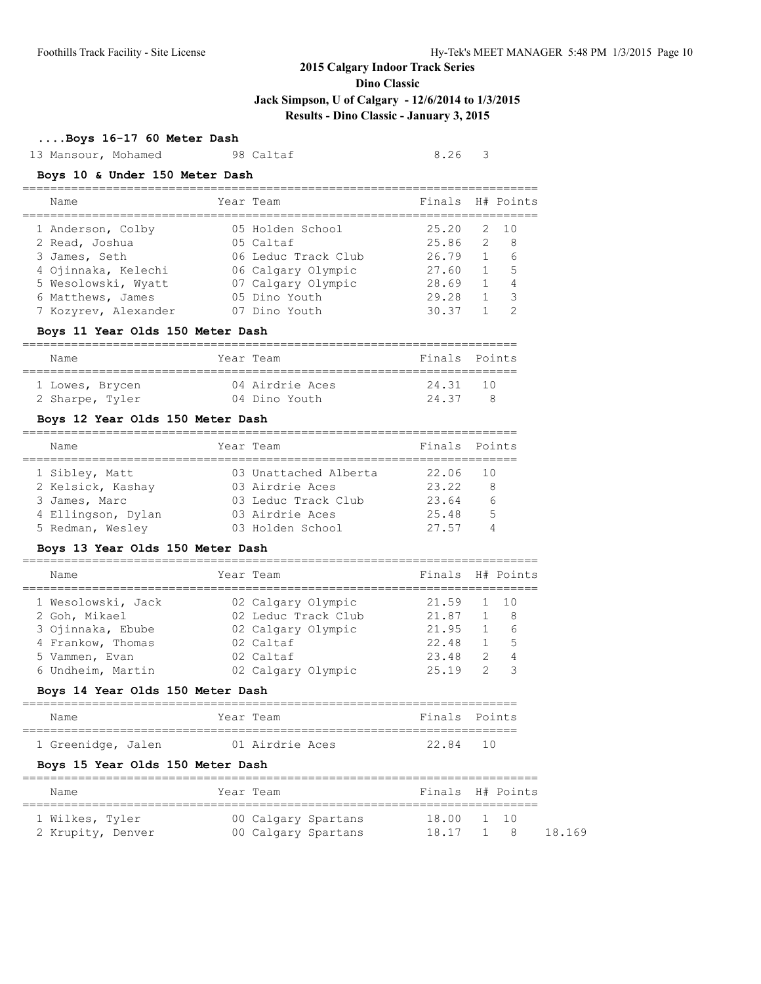**Dino Classic**

### **Jack Simpson, U of Calgary - 12/6/2014 to 1/3/2015**

# **Results - Dino Classic - January 3, 2015**

#### **....Boys 16-17 60 Meter Dash**

13 Mansour, Mohamed 98 Caltaf 8.26 3

#### **Boys 10 & Under 150 Meter Dash**

| Name                 | Year Team           | Finals H# Points |    |                 |
|----------------------|---------------------|------------------|----|-----------------|
| 1 Anderson, Colby    | 05 Holden School    | 25.20            | 2. | $\overline{10}$ |
| 2 Read, Joshua       | 05 Caltaf           | 25.86            | 2  | - 8             |
| 3 James, Seth        | 06 Leduc Track Club | 26.79            |    | 6               |
| 4 Ojinnaka, Kelechi  | 06 Calgary Olympic  | 27.60            |    | 5               |
| 5 Wesolowski, Wyatt  | 07 Calgary Olympic  | 28.69            |    |                 |
| 6 Matthews, James    | 05 Dino Youth       | 29.28            |    | 3               |
| 7 Kozyrev, Alexander | 07 Dino Youth       | 30.37            |    | っ               |
|                      |                     |                  |    |                 |

#### **Boys 11 Year Olds 150 Meter Dash**

| Name            | Year Team       | Finals Points |     |  |  |  |  |
|-----------------|-----------------|---------------|-----|--|--|--|--|
| 1 Lowes, Brycen | 04 Airdrie Aces | 24.31         | 10  |  |  |  |  |
| 2 Sharpe, Tyler | 04 Dino Youth   | 24.37         | - 8 |  |  |  |  |

#### **Boys 12 Year Olds 150 Meter Dash**

| Name               | Year Team             | Finals Points |   |
|--------------------|-----------------------|---------------|---|
| 1 Sibley, Matt     | 03 Unattached Alberta | 22.06 10      |   |
| 2 Kelsick, Kashay  | 03 Airdrie Aces       | 23.22         | 8 |
| 3 James, Marc      | 03 Leduc Track Club   | 23.64         | 6 |
| 4 Ellingson, Dylan | 03 Airdrie Aces       | 25.48         | 5 |
| 5 Redman, Wesley   | 03 Holden School      | 27.57         |   |

#### **Boys 13 Year Olds 150 Meter Dash**

| Name               | Year Team           | Finals H# Points |               |     |
|--------------------|---------------------|------------------|---------------|-----|
| 1 Wesolowski, Jack | 02 Calgary Olympic  | 21.59            |               | 10  |
| 2 Goh, Mikael      | 02 Leduc Track Club | 21.87            |               | - 8 |
| 3 Ojinnaka, Ebube  | 02 Calgary Olympic  | 21.95            |               | 6   |
| 4 Frankow, Thomas  | 02 Caltaf           | 22.48            |               | 5   |
| 5 Vammen, Evan     | 02 Caltaf           | 23.48            | $\mathcal{P}$ |     |
| 6 Undheim, Martin  | 02 Calgary Olympic  | 25.19            |               | ੨   |
|                    |                     |                  |               |     |

## **Boys 14 Year Olds 150 Meter Dash**

| Name               | Year Team       | Finals Points |  |  |  |  |  |
|--------------------|-----------------|---------------|--|--|--|--|--|
|                    |                 |               |  |  |  |  |  |
| 1 Greenidge, Jalen | 01 Airdrie Aces | 22.84 10      |  |  |  |  |  |

## **Boys 15 Year Olds 150 Meter Dash**

| Name              | Year Team           | Finals H# Points    |  |  |  |  |  |  |
|-------------------|---------------------|---------------------|--|--|--|--|--|--|
| 1 Wilkes, Tyler   | 00 Calgary Spartans | 18.00 1 10          |  |  |  |  |  |  |
| 2 Krupity, Denver | 00 Calgary Spartans | 18.17 1 8<br>18.169 |  |  |  |  |  |  |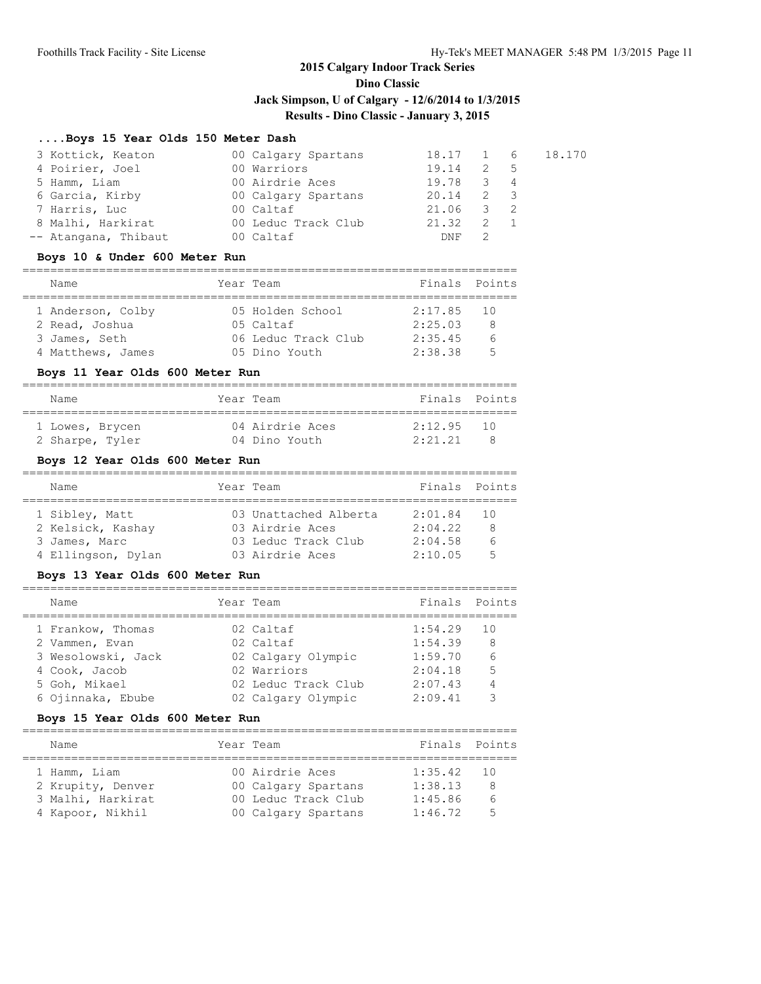**Dino Classic**

**Jack Simpson, U of Calgary - 12/6/2014 to 1/3/2015**

# **Results - Dino Classic - January 3, 2015**

#### **....Boys 15 Year Olds 150 Meter Dash**

| 3 Kottick, Keaton    | 00 Calgary Spartans |             |     |                | 18.17 1 6 18.170 |
|----------------------|---------------------|-------------|-----|----------------|------------------|
| 4 Poirier, Joel      | 00 Warriors         | 19.14       | 2 5 |                |                  |
| 5 Hamm, Liam         | 00 Airdrie Aces     | 19.78       | -3  | $\overline{4}$ |                  |
| 6 Garcia, Kirby      | 00 Calgary Spartans | $20.14$ 2 3 |     |                |                  |
| 7 Harris, Luc        | 00 Caltaf           | 21.06 3 2   |     |                |                  |
| 8 Malhi, Harkirat    | 00 Leduc Track Club | 21.32       |     |                |                  |
| -- Atangana, Thibaut | 00 Caltaf           | <b>DNF</b>  |     |                |                  |

#### **Boys 10 & Under 600 Meter Run**

|  | Name              |  | Year Team           | Finals Points |   |  |  |
|--|-------------------|--|---------------------|---------------|---|--|--|
|  | 1 Anderson, Colby |  | 05 Holden School    | $2:17.85$ 10  |   |  |  |
|  | 2 Read, Joshua    |  | 05 Caltaf           | 2:25.03       | Я |  |  |
|  | 3 James, Seth     |  | 06 Leduc Track Club | 2:35.45       |   |  |  |
|  | 4 Matthews, James |  | 05 Dino Youth       | 2:38.38       | 气 |  |  |

#### **Boys 11 Year Olds 600 Meter Run**

| Name            | Year Team       | Finals Points              |  |  |  |  |  |
|-----------------|-----------------|----------------------------|--|--|--|--|--|
|                 |                 | 2:12.95<br>$\overline{10}$ |  |  |  |  |  |
| 1 Lowes, Brycen | 04 Airdrie Aces |                            |  |  |  |  |  |
| 2 Sharpe, Tyler | 04 Dino Youth   | 2:21.21                    |  |  |  |  |  |

## **Boys 12 Year Olds 600 Meter Run**

| Name                                                                       | Year Team |                                                                                    | Finals Points                            |                                           |  |  |  |
|----------------------------------------------------------------------------|-----------|------------------------------------------------------------------------------------|------------------------------------------|-------------------------------------------|--|--|--|
| 1 Sibley, Matt<br>2 Kelsick, Kashay<br>3 James, Marc<br>4 Ellingson, Dylan |           | 03 Unattached Alberta<br>03 Airdrie Aces<br>03 Leduc Track Club<br>03 Airdrie Aces | 2:01.84<br>2:04.22<br>2:04.58<br>2:10.05 | - 10<br>8<br>$\epsilon$<br>$\overline{5}$ |  |  |  |

#### **Boys 13 Year Olds 600 Meter Run**

| Name               | Year Team           | Finals Points |    |
|--------------------|---------------------|---------------|----|
| 1 Frankow, Thomas  | 02 Caltaf           | 1:54.29       | 10 |
| 2 Vammen, Evan     | 02 Caltaf           | 1:54.39       | 8  |
| 3 Wesolowski, Jack | 02 Calgary Olympic  | 1:59.70       | 6  |
| 4 Cook, Jacob      | 02 Warriors         | 2:04.18       | 5  |
| 5 Goh, Mikael      | 02 Leduc Track Club | 2:07.43       | 4  |
| 6 Ojinnaka, Ebube  | 02 Calgary Olympic  | 2:09.41       |    |

### **Boys 15 Year Olds 600 Meter Run**

| Name                              | Year Team                              | Finals Points      |                |
|-----------------------------------|----------------------------------------|--------------------|----------------|
| 1 Hamm, Liam<br>2 Krupity, Denver | 00 Airdrie Aces<br>00 Calgary Spartans | 1:35.42<br>1:38.13 | - 10<br>8      |
| 3 Malhi, Harkirat                 | 00 Leduc Track Club                    | 1:45.86            | $\epsilon$     |
| 4 Kapoor, Nikhil                  | 00 Calgary Spartans                    | 1:46.72            | $\overline{5}$ |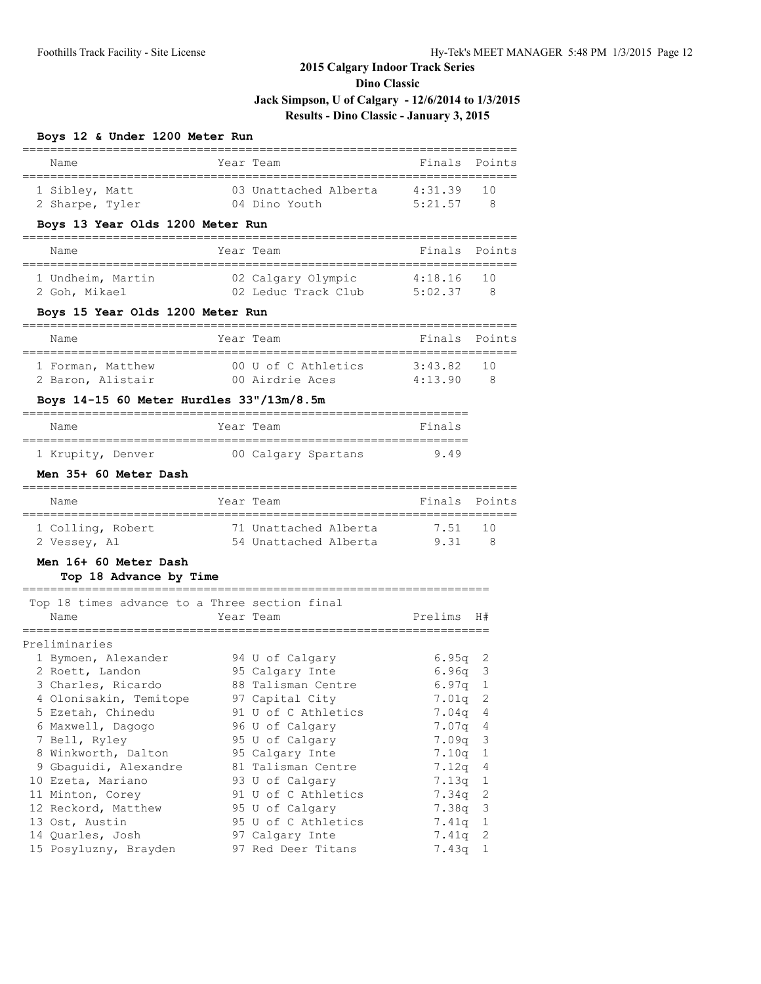**Dino Classic**

# **Jack Simpson, U of Calgary - 12/6/2014 to 1/3/2015**

## **Results - Dino Classic - January 3, 2015**

## **Boys 12 & Under 1200 Meter Run**

| Name                                                                                                         |                 | Year Team                                                                                          | Finals                                    | Points                   |
|--------------------------------------------------------------------------------------------------------------|-----------------|----------------------------------------------------------------------------------------------------|-------------------------------------------|--------------------------|
| 1 Sibley, Matt<br>2 Sharpe, Tyler                                                                            |                 | 03 Unattached Alberta<br>04 Dino Youth                                                             | 4:31.39<br>5:21.57                        | 10<br>8                  |
| Boys 13 Year Olds 1200 Meter Run                                                                             |                 |                                                                                                    |                                           |                          |
| Name                                                                                                         |                 | Year Team                                                                                          | Finals                                    | Points                   |
| 1 Undheim, Martin<br>2 Goh, Mikael                                                                           |                 | 02 Calgary Olympic<br>02 Leduc Track Club                                                          | 4:18.16<br>5:02.37                        | 10<br>$_{\rm 8}$         |
| Boys 15 Year Olds 1200 Meter Run                                                                             |                 | =====================                                                                              |                                           |                          |
| Name                                                                                                         |                 | Year Team                                                                                          | Finals                                    | Points                   |
| 1 Forman, Matthew<br>2 Baron, Alistair                                                                       |                 | 00 U of C Athletics<br>00 Airdrie Aces                                                             | 3:43.82<br>4:13.90                        | 10<br>8                  |
| Boys 14-15 60 Meter Hurdles 33"/13m/8.5m                                                                     |                 |                                                                                                    |                                           |                          |
| Name                                                                                                         |                 | Year Team                                                                                          | Finals                                    |                          |
| ------------------------------<br>1 Krupity, Denver                                                          |                 | ==========================<br>00 Calgary Spartans                                                  | 9.49                                      |                          |
| Men 35+ 60 Meter Dash                                                                                        |                 |                                                                                                    |                                           |                          |
| Name                                                                                                         |                 | Year Team                                                                                          | Finals Points                             |                          |
| 1 Colling, Robert<br>2 Vessey, Al                                                                            | =============== | 71 Unattached Alberta<br>54 Unattached Alberta                                                     | 7.51<br>9.31                              | 10<br>- 8                |
| Men 16+ 60 Meter Dash<br>Top 18 Advance by Time                                                              |                 |                                                                                                    |                                           |                          |
| Top 18 times advance to a Three section final<br>Name                                                        |                 | Year Team                                                                                          | Prelims                                   | H#                       |
| ============<br>Preliminaries<br>1 Bymoen, Alexander<br>2 Roett, Landon<br>3 Charles, Ricardo                |                 | ============<br>94 U of Calgary<br>95 Calgary Inte<br>88 Talisman Centre                           | $6.95q$ 2<br>$6.96q$ 3<br>6.97q           | 1                        |
| 4 Olonisakin, Temitope<br>5 Ezetah, Chinedu<br>6 Maxwell, Dagogo<br>7 Bell, Ryley                            |                 | 97 Capital City<br>91 U of C Athletics<br>96 U of Calgary<br>95 U of Calgary                       | 7.01q<br>7.04q<br>7.07q 4<br>7.09q        | 2<br>$\overline{4}$<br>3 |
| 8 Winkworth, Dalton<br>9 Gbaguidi, Alexandre<br>10 Ezeta, Mariano<br>11 Minton, Corey<br>12 Reckord, Matthew |                 | 95 Calgary Inte<br>81 Talisman Centre<br>93 U of Calgary<br>91 U of C Athletics<br>95 U of Calgary | 7.10q<br>7.12q<br>7.13q<br>7.34q<br>7.38q | 1<br>4<br>1<br>2<br>3    |
| 13 Ost, Austin<br>14 Quarles, Josh<br>15 Posyluzny, Brayden                                                  |                 | 95 U of C Athletics<br>97 Calgary Inte<br>97 Red Deer Titans                                       | 7.41q<br>7.41q<br>7.43q                   | 1<br>2<br>1              |

=======================================================================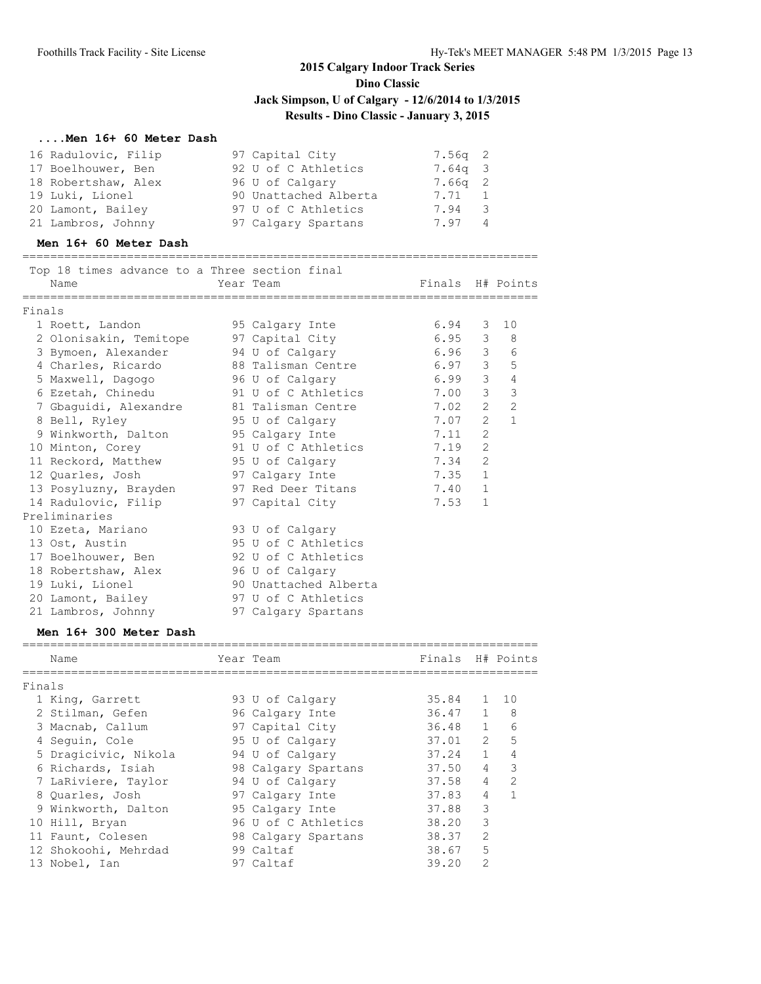### **....Men 16+ 60 Meter Dash**

| 16 Radulovic, Filip | 97 Capital City       | $7.56q$ 2 |
|---------------------|-----------------------|-----------|
| 17 Boelhouwer, Ben  | 92 U of C Athletics   | 7.64g 3   |
| 18 Robertshaw, Alex | 96 U of Calgary       | $7.66q$ 2 |
| 19 Luki, Lionel     | 90 Unattached Alberta | 7.71 1    |
| 20 Lamont, Bailey   | 97 U of C Athletics   | 7.94 3    |
| 21 Lambros, Johnny  | 97 Calgary Spartans   | 7.97 4    |

#### **Men 16+ 60 Meter Dash**

==========================================================================

|        | Top 18 times advance to a Three section final |                          |                  |                |                |
|--------|-----------------------------------------------|--------------------------|------------------|----------------|----------------|
|        | Name                                          | Year Team                | Finals H# Points |                |                |
| Finals |                                               |                          |                  |                |                |
|        | 1 Roett, Landon                               | 95 Calgary Inte          | $6.94$ 3 10      |                |                |
|        | 2 Olonisakin, Temitope 97 Capital City        |                          | $6.95$ 3 8       |                |                |
|        | 3 Bymoen, Alexander 94 U of Calgary           |                          | $6.96$ 3 6       |                |                |
|        | 4 Charles, Ricardo 68 Talisman Centre         |                          | $6.97$ 3 5       |                |                |
|        | 5 Maxwell, Dagogo 5 96 U of Calgary           |                          | $6.99$ 3 4       |                |                |
|        |                                               |                          |                  |                | $\mathcal{S}$  |
|        | 7 Gbaguidi, Alexandre and B1 Talisman Centre  |                          | $7.02$ 2 2       |                |                |
|        | 8 Bell, Ryley                                 | 95 U of Calgary          | $7.07$ 2         |                | $\overline{1}$ |
|        | 9 Winkworth, Dalton                           | 95 Calgary Inte          | 7.11             | $\overline{2}$ |                |
|        | 10 Minton, Corey                              | 91 U of C Athletics 7.19 |                  | $\overline{2}$ |                |
|        | 11 Reckord, Matthew 95 U of Calgary           |                          | $7.34$ 2         |                |                |
|        | 12 Quarles, Josh 97 Calgary Inte              |                          | $7.35$ 1         |                |                |
|        | 13 Posyluzny, Brayden 97 Red Deer Titans      |                          | 7.40 1           |                |                |
|        | 14 Radulovic, Filip                           | 97 Capital City          | 7.53             | 1              |                |
|        | Preliminaries                                 |                          |                  |                |                |
|        | 10 Ezeta, Mariano                             | 93 U of Calgary          |                  |                |                |
|        | 13 Ost, Austin                                | 95 U of C Athletics      |                  |                |                |
|        | 17 Boelhouwer, Ben                            | 92 U of C Athletics      |                  |                |                |
|        | 18 Robertshaw, Alex                           | 96 U of Calgary          |                  |                |                |
|        | 19 Luki, Lionel                               | 90 Unattached Alberta    |                  |                |                |
|        | 20 Lamont, Bailey                             | 97 U of C Athletics      |                  |                |                |
|        | 21 Lambros, Johnny                            | 97 Calgary Spartans      |                  |                |                |

#### **Men 16+ 300 Meter Dash**

|        | Name                 | Year Team           | Finals H# Points |                |                |
|--------|----------------------|---------------------|------------------|----------------|----------------|
| Finals |                      |                     |                  |                |                |
|        | 1 King, Garrett      | 93 U of Calgary     | 35.84            |                | $1 \quad 10$   |
|        | 2 Stilman, Gefen     | 96 Calgary Inte     | 36.47            | $\mathbf{1}$   | 8              |
|        | 3 Macnab, Callum     | 97 Capital City     | 36.48            | $\mathbf{1}$   | 6              |
|        | 4 Sequin, Cole       | 95 U of Calgary     | 37.01            | $\mathfrak{L}$ | 5              |
|        | 5 Dragicivic, Nikola | 94 U of Calgary     | 37.24            | $\mathbf{1}$   | 4              |
|        | 6 Richards, Isiah    | 98 Calgary Spartans | 37.50            | 4              | 3              |
|        | 7 LaRiviere, Taylor  | 94 U of Calgary     | 37.58            | $\overline{4}$ | $\mathfrak{D}$ |
|        | 8 Ouarles, Josh      | 97 Calgary Inte     | 37.83            | 4              |                |
|        | 9 Winkworth, Dalton  | 95 Calgary Inte     | 37.88            | 3              |                |
|        | 10 Hill, Bryan       | 96 U of C Athletics | 38.20            | 3              |                |
|        | 11 Faunt, Colesen    | 98 Calgary Spartans | 38.37            | $\mathfrak{D}$ |                |
|        | 12 Shokoohi, Mehrdad | 99 Caltaf           | 38.67            | 5              |                |
|        | 13 Nobel, Ian        | 97 Caltaf           | 39.20            | $\mathfrak{D}$ |                |
|        |                      |                     |                  |                |                |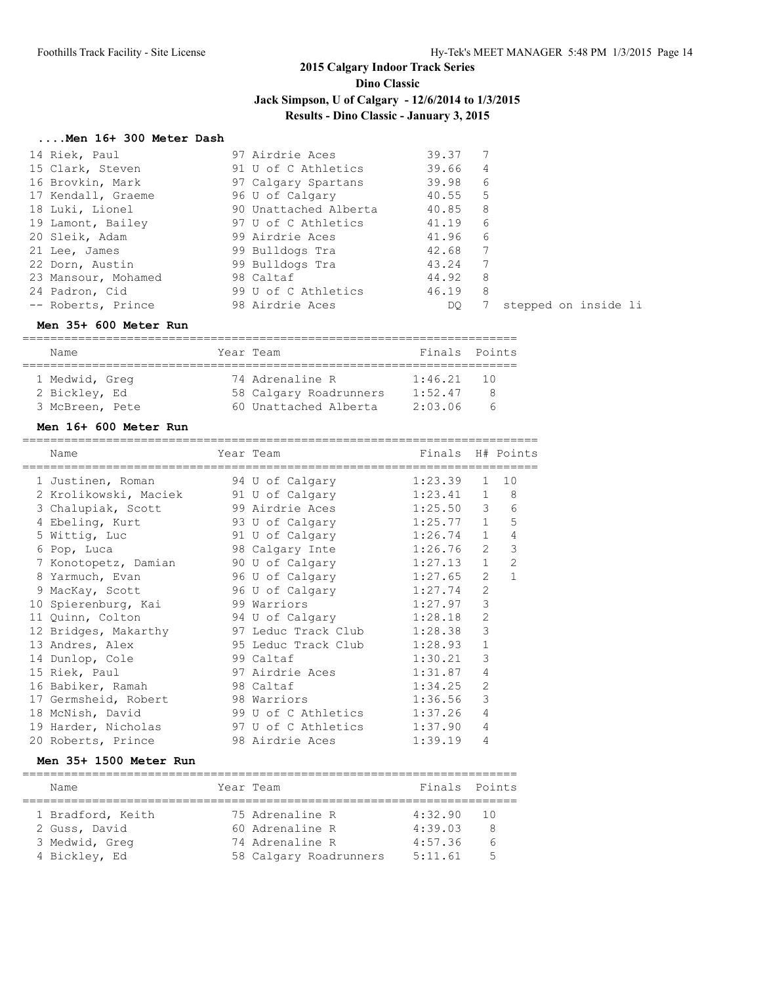#### **....Men 16+ 300 Meter Dash**

| 14 Riek, Paul       | 97 Airdrie Aces       | 39.37   |                |                      |
|---------------------|-----------------------|---------|----------------|----------------------|
| 15 Clark, Steven    | 91 U of C Athletics   | 39.66   | $\overline{4}$ |                      |
| 16 Brovkin, Mark    | 97 Calgary Spartans   | 39.98   | - 6            |                      |
| 17 Kendall, Graeme  | 96 U of Calgary       | 40.55   | -5             |                      |
| 18 Luki, Lionel     | 90 Unattached Alberta | 40.85 8 |                |                      |
| 19 Lamont, Bailey   | 97 U of C Athletics   | 41.19   | -6             |                      |
| 20 Sleik, Adam      | 99 Airdrie Aces       | 41.96   | -6             |                      |
| 21 Lee, James       | 99 Bulldogs Tra       | 42.68   | 7              |                      |
| 22 Dorn, Austin     | 99 Bulldogs Tra       | 43.24   | 7              |                      |
| 23 Mansour, Mohamed | 98 Caltaf             | 44.92   | - 8            |                      |
| 24 Padron, Cid      | 99 U of C Athletics   | 46.19   | -8             |                      |
| -- Roberts, Prince  | 98 Airdrie Aces       | DO.     |                | stepped on inside li |

#### **Men 35+ 600 Meter Run**

| Name            |  |  | Year Team              | Finals Points |   |  |  |  |  |
|-----------------|--|--|------------------------|---------------|---|--|--|--|--|
| 1 Medwid, Greg  |  |  | 74 Adrenaline R        | $1:46.21$ 10  |   |  |  |  |  |
| 2 Bickley, Ed   |  |  | 58 Calgary Roadrunners | 1:52.47       | Я |  |  |  |  |
| 3 McBreen, Pete |  |  | 60 Unattached Alberta  | 2:03.06       | ∽ |  |  |  |  |

#### **Men 16+ 600 Meter Run**

| Name                                      | Year Team                   | Finals H# Points |                |                |
|-------------------------------------------|-----------------------------|------------------|----------------|----------------|
| 1 Justinen, Roman                         | 94 U of Calgary             | 1:23.39          |                | $1 \quad 10$   |
| 2 Krolikowski, Maciek                     | 91 U of Calgary             | 1:23.41          | $\mathbf{1}$   | 8              |
| 3 Chalupiak, Scott                        | 99 Airdrie Aces             | $1:25.50$ 3      |                | 6              |
| 4 Ebeling, Kurt 93 U of Calgary 1:25.77 1 |                             |                  |                | 5              |
| 5 Wittig, Luc                             | 91 U of Calgary             | 1:26.74          | $\mathbf{1}$   | 4              |
| 6 Pop, Luca                               | 98 Calgary Inte 1:26.76     |                  | $\overline{2}$ | 3              |
| 7 Konotopetz, Damian                      | 90 U of Calgary 1:27.13     |                  | $\mathbf{1}$   | $\overline{2}$ |
| 8 Yarmuch, Evan                           | 96 U of Calgary             | 1:27.65          | $\mathfrak{L}$ | $\mathbf{1}$   |
| 9 MacKay, Scott                           | 96 U of Calgary 1:27.74     |                  | $\overline{2}$ |                |
| 10 Spierenburg, Kai                       | 99 Warriors                 | 1:27.97          | 3              |                |
| 11 Quinn, Colton                          | 94 U of Calgary             | 1:28.18          | $\overline{2}$ |                |
| 12 Bridges, Makarthy                      | 97 Leduc Track Club 1:28.38 |                  | 3              |                |
| 13 Andres, Alex                           | 95 Leduc Track Club         | 1:28.93          | $\mathbf{1}$   |                |
| 14 Dunlop, Cole                           | 99 Caltaf                   | 1:30.21          | 3              |                |
| 15 Riek, Paul                             | 97 Airdrie Aces             | 1:31.87          | 4              |                |
| 16 Babiker, Ramah                         | 98 Caltaf                   | 1:34.25          | $\overline{2}$ |                |
| 17 Germsheid, Robert                      | 98 Warriors                 | 1:36.56          | 3              |                |
| 18 McNish, David                          | 99 U of C Athletics         | 1:37.26          | 4              |                |
| 19 Harder, Nicholas                       | 97 U of C Athletics         | 1:37.90          | 4              |                |
| 20 Roberts, Prince                        | 98 Airdrie Aces             | 1:39.19          | 4              |                |

#### **Men 35+ 1500 Meter Run**

| Name              | Year Team              | Finals Points |      |
|-------------------|------------------------|---------------|------|
| 1 Bradford, Keith | 75 Adrenaline R        | 4:32.90       | - 10 |
| 2 Guss, David     | 60 Adrenaline R        | 4:39.03       | 8    |
| 3 Medwid, Greg    | 74 Adrenaline R        | 4:57.36       |      |
| 4 Bickley, Ed     | 58 Calgary Roadrunners | 5:11.61       | ц    |